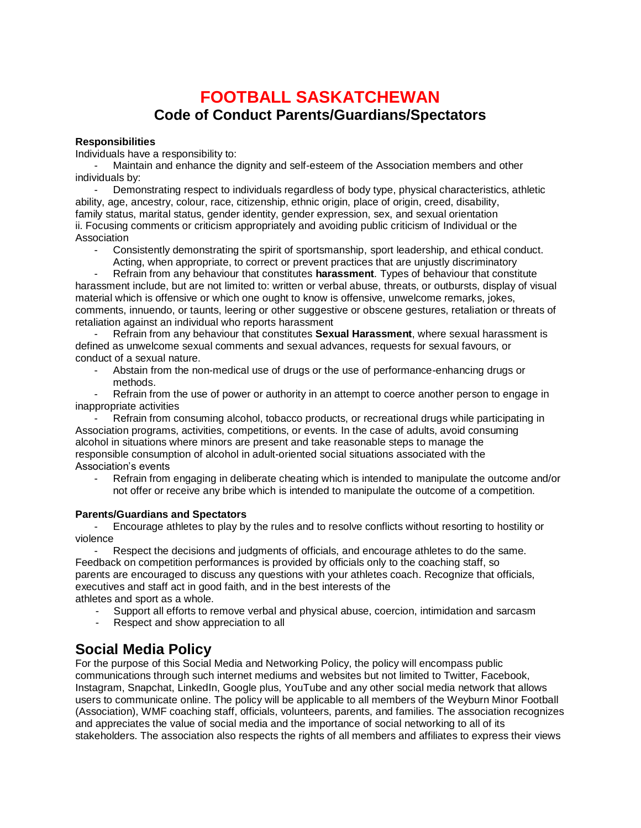# **FOOTBALL SASKATCHEWAN Code of Conduct Parents/Guardians/Spectators**

#### **Responsibilities**

Individuals have a responsibility to:

Maintain and enhance the dignity and self-esteem of the Association members and other individuals by:

Demonstrating respect to individuals regardless of body type, physical characteristics, athletic ability, age, ancestry, colour, race, citizenship, ethnic origin, place of origin, creed, disability, family status, marital status, gender identity, gender expression, sex, and sexual orientation ii. Focusing comments or criticism appropriately and avoiding public criticism of Individual or the Association

- Consistently demonstrating the spirit of sportsmanship, sport leadership, and ethical conduct. Acting, when appropriate, to correct or prevent practices that are unjustly discriminatory

Refrain from any behaviour that constitutes **harassment**. Types of behaviour that constitute harassment include, but are not limited to: written or verbal abuse, threats, or outbursts, display of visual material which is offensive or which one ought to know is offensive, unwelcome remarks, jokes, comments, innuendo, or taunts, leering or other suggestive or obscene gestures, retaliation or threats of retaliation against an individual who reports harassment

- Refrain from any behaviour that constitutes **Sexual Harassment**, where sexual harassment is defined as unwelcome sexual comments and sexual advances, requests for sexual favours, or conduct of a sexual nature.

- Abstain from the non-medical use of drugs or the use of performance-enhancing drugs or methods.

Refrain from the use of power or authority in an attempt to coerce another person to engage in inappropriate activities

Refrain from consuming alcohol, tobacco products, or recreational drugs while participating in Association programs, activities, competitions, or events. In the case of adults, avoid consuming alcohol in situations where minors are present and take reasonable steps to manage the responsible consumption of alcohol in adult-oriented social situations associated with the Association's events

Refrain from engaging in deliberate cheating which is intended to manipulate the outcome and/or not offer or receive any bribe which is intended to manipulate the outcome of a competition.

#### **Parents/Guardians and Spectators**

- Encourage athletes to play by the rules and to resolve conflicts without resorting to hostility or violence

Respect the decisions and judgments of officials, and encourage athletes to do the same. Feedback on competition performances is provided by officials only to the coaching staff, so parents are encouraged to discuss any questions with your athletes coach. Recognize that officials, executives and staff act in good faith, and in the best interests of the athletes and sport as a whole.

- Support all efforts to remove verbal and physical abuse, coercion, intimidation and sarcasm<br>- Respect and show appreciation to all
- Respect and show appreciation to all

## **Social Media Policy**

For the purpose of this Social Media and Networking Policy, the policy will encompass public communications through such internet mediums and websites but not limited to Twitter, Facebook, Instagram, Snapchat, LinkedIn, Google plus, YouTube and any other social media network that allows users to communicate online. The policy will be applicable to all members of the Weyburn Minor Football (Association), WMF coaching staff, officials, volunteers, parents, and families. The association recognizes and appreciates the value of social media and the importance of social networking to all of its stakeholders. The association also respects the rights of all members and affiliates to express their views